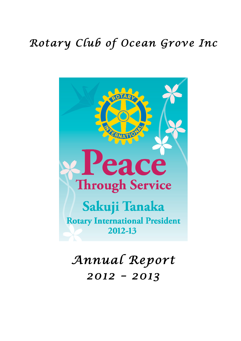# *Rotary Club of Ocean Grove Inc*



*Annual Report 2012 – 2013*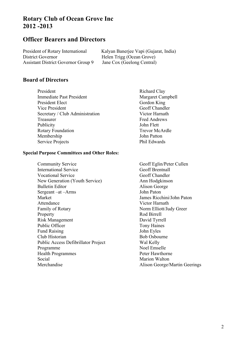# **Rotary Club of Ocean Grove Inc 2012 -2013**

# **Officer Bearers and Directors**

District Governor Helen Trigg (Ocean Grove) Assistant District Governor Group 9 Jane Cox (Geelong Central)

President of Rotary International Kalyan Banerjee Vapi (Gujarat, India)

# **Board of Directors**

President Richard Clay Immediate Past President Margaret Campbell President Elect Gordon King Vice President Geoff Chandler Secretary / Club Administration Victor Harnath Treasurer Fred Andrews Publicity **John Flett** Rotary Foundation Trevor McArdle Membership John Patton Service Projects Phil Edwards

#### **Special Purpose Committees and Other Roles:**

Community Service Geoff Eglin/Peter Cullen International Service Geoff Brentnall Vocational Service Geoff Chandler New Generation (Youth Service) Ann Hodgkinson Bulletin Editor Alison George Sergeant –at –Arms John Paton Market James Ricchini/John Paton Attendance Victor Harnath Family of Rotary Norm Elliott/Judy Greer Property Rod Birrell Risk Management David Tyrrell Public Officer Tony Haines Fund Raising John Eyles Club Historian Bob Osbourne Public Access Defibrillator Project Wal Kelly Programme Noel Emselle Health Programmes Peter Hawthorne Social Marion Walton Merchandise Alison George/Martin Geerings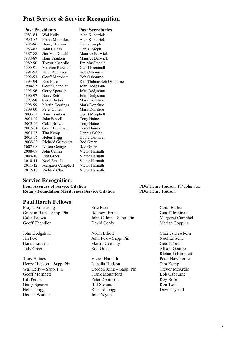# **Past Service & Service Recognition**

| <b>Past Presidents</b> |                         | <b>Past Secretaries</b> |
|------------------------|-------------------------|-------------------------|
| 1983-84                | Wal Kelly               | Alan Kilpatrick         |
| 1984-85                | <b>Frank Mountford</b>  | Alan Kilpatrick         |
| 1985-86                | Henry Hudson            | Denis Joseph            |
| 1986-87                | John Calnin             | Denis Joseph            |
| 1987-88                | Jim MacDonald           | Maurice Barwick         |
| 1988-89                | Hans Franken            | Maurice Barwick         |
| 1989-90                | Trevor McArdle          | Jim MacDonald           |
| 1990-91                | Maurice Barwick         | <b>Geoff Brentnall</b>  |
| 1991-92                | Peter Robinson          | <b>Bob Osbourne</b>     |
| 1992-93                | Geoff Morphett          | <b>Bob Osbourne</b>     |
| 1993-94                | Eric Bare               | Ken Thibou/Bob Osbourne |
| 1994-95                | <b>Geoff Chandler</b>   | John Dodgshun           |
| 1995-96                | Gerry Spencer           | John Dodgshun           |
| 1996-97                | Barry Reid              | John Dodgshun           |
| 1997-98                | Coral Barker            | Mark Donehue            |
| 1998-99                | Martin Geerings         | Mark Donehue            |
| 1999-00                | Peter Cullen            | Mark Donehue            |
| 2000-01                | Hans Franken            | Geoff Morphett          |
| 2001-02                | John Powell             | <b>Tony Haines</b>      |
| 2002-03                | Colin Brown             | <b>Tony Haines</b>      |
| 2003-04                | Geoff Brentnall         | <b>Tony Haines</b>      |
| 2004-05                | Tim Kemp                | Dennis Saliba           |
| 2005-06                | Helen Trigg             | David Cornwell          |
| 2006-07                | <b>Richard Grimmett</b> | Rod Greer               |
| 2007-08                | Alison George           | Rod Greer               |
| 2008-09                | John Calnin             | Victor Harnath          |
| 2009-10                | Rod Greer               | Victor Harnath          |
| 2010-11                | Noel Emselle            | Victor Harnath          |
| 2011-12                | Margaret Campbell       | Victor Harnath          |
| 2012-13                | Richard Clay            | Victor Harnath          |
|                        |                         |                         |

# **Service Recognition:**<br>Four Avenues of Service Citation

**Rotary Foundation Meritorious Service Citation** PDG Henry Hudson

# **Paul Harris Fellows:**

Graham Bath – Sapp. Pin Rodney Birrell Geoff Brentnall Colin Brown Geoff Chandler

John Dodgshun Jan Fox Hans Franken Judy Greer

Tony Haines Victor Harnath Peter Hawthorne Henry Hudson – Sapp. Pin Wal Kelly – Sapp. Pin Geoff Morphett Frank Mountford Bob Osbourne Bill Penna Peter Robinson Roy Rose Gerry Spencer Bill Steains Ron Todd Helen Trigg Richard Trigg David Tyrrell Dennis Wooten John Wynn

Moyia Armstrong Eric Bare Coral Barker John Calnin – Sapp. Pin David Cooke

> Norm Elliott John Fox – Sapp. Pin Martin Geerings Rod Greer

Isabella Hudson Gordon King – Sapp. Pin PDG Henry Hudson, PP John Fox

Margaret Campbell Marian Coppins

Charles Dawborn Noel Emselle Geoff Ford Alison George Richard Grimmett Tim Kemp Trevor McArdle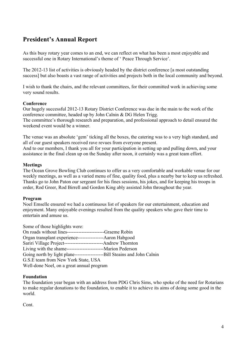# **President's Annual Report**

As this busy rotary year comes to an end, we can reflect on what has been a most enjoyable and successful one in Rotary International's theme of ' Peace Through Service'.

The 2012-13 list of activities is obviously headed by the district conference [a most outstanding success] but also boasts a vast range of activities and projects both in the local community and beyond.

I wish to thank the chairs, and the relevant committees, for their committed work in achieving some very sound results.

### **Conference**

Our hugely successful 2012-13 Rotary District Conference was due in the main to the work of the conference committee, headed up by John Calnin & DG Helen Trigg. The committee's thorough research and preparation, and professional approach to detail ensured the weekend event would be a winner.

The venue was an absolute 'gem' ticking all the boxes, the catering was to a very high standard, and all of our guest speakers received rave revues from everyone present. And to our members, I thank you all for your participation in setting up and pulling down, and your

assistance in the final clean up on the Sunday after noon, it certainly was a great team effort.

#### **Meetings**

The Ocean Grove Bowling Club continues to offer us a very comfortable and workable venue for our weekly meetings, as well as a varied menu of fine, quality food, plus a nearby bar to keep us refreshed. Thanks go to John Paton our sergeant for his fines sessions, his jokes, and for keeping his troops in order, Rod Greer, Rod Birrell and Gordon King ably assisted John throughout the year.

### **Program**

Noel Emselle ensured we had a continuous list of speakers for our entertainment, education and enjoyment. Many enjoyable evenings resulted from the quality speakers who gave their time to entertain and amuse us.

Some of those highlights were: On roads without lines-----------------------Graeme Robin Organ transplant experience----------------Aaron Habgood Sariri Village Project------------------------Andrew Thornton Living with the shame-----------------------Marion Pederson Going north by light plane------------------Bill Steains and John Calnin G.S.E team from New York State, USA Well-done Noel, on a great annual program

### **Foundation**

The foundation year began with an address from PDG Chris Sims, who spoke of the need for Rotarians to make regular donations to the foundation, to enable it to achieve its aims of doing some good in the world.

Cont.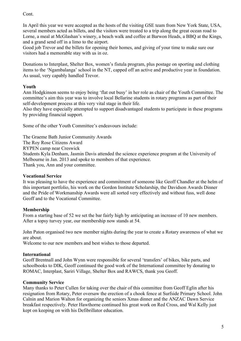Cont.

In April this year we were accepted as the hosts of the visiting GSE team from New York State, USA, several members acted as billets, and the visitors were treated to a trip along the great ocean road to Lorne, a meal at McGlashan's winery, a beach walk and coffee at Barwon Heads, a BBQ at the Kings, and a grand send off in a limo to the airport.

Good job Trevor and the billets for opening their homes, and giving of your time to make sure our visitors had a memorable stay with us in oz.

Donations to Interplast, Shelter Box, women's fistula program, plus postage on sporting and clothing items to the 'Ngambalanga' school in the NT, capped off an active and productive year in foundation. As usual, very capably handled Trevor.

# **Youth**

Ann Hodgkinson seems to enjoy being 'flat out busy' in her role as chair of the Youth Committee. The committee's aim this year was to involve local Bellarine students in rotary programs as part of their self-development process at this very vital stage in their life.

Also they have especially attempted to support disadvantaged students to participate in these programs by providing financial support.

Some of the other Youth Committee's endeavours include:

The Graeme Bath Junior Community Awards The Roy Rose Citizens Award RYPEN camp near Creswick Students Kyla Denham, Jasmin Davis attended the science experience program at the University of Melbourne in Jan. 2013 and spoke to members of that experience. Thank you, Ann and your committee.

# **Vocational Service**

It was pleasing to have the experience and commitment of someone like Geoff Chandler at the helm of this important portfolio, his work on the Gordon Institute Scholarship, the Davidson Awards Dinner and the Pride of Workmanship Awards were all sorted very effectively and without fuss, well done Geoff and to the Vocational Committee.

# **Membership**

From a starting base of 52 we set the bar fairly high by anticipating an increase of 10 new members. After a topsy turvey year, our membership now stands at 54.

John Paton organised two new member nights during the year to create a Rotary awareness of what we are about.

Welcome to our new members and best wishes to those departed.

# **International**

Geoff Brentnall and John Wynn were responsible for several 'transfers' of bikes, bike parts, and schoolbooks to DIK, Geoff continued the good work of the International committee by donating to ROMAC, Interplast, Sariri Village, Shelter Box and RAWCS, thank you Geoff.

# **Community Service**

Many thanks to Peter Cullen for taking over the chair of this committee from Geoff Eglin after his resignation from Rotary, Peter oversaw the erection of a chook fence at Surfside Primary School. John Calnin and Marion Walton for organizing the seniors Xmas dinner and the ANZAC Dawn Service breakfast respectively. Peter Hawthorne continued his great work on Red Cross, and Wal Kelly just kept on keeping on with his Defibrillator education.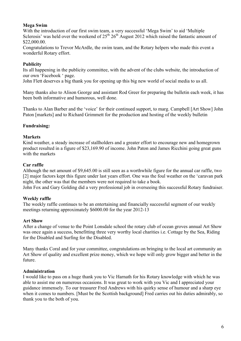### **Mega Swim**

With the introduction of our first swim team, a very successful 'Mega Swim' to aid 'Multiple Sclerosis' was held over the weekend of  $25<sup>th</sup> 26<sup>th</sup>$  August 2012 which raised the fantastic amount of \$22,000.00.

Congratulations to Trevor McArdle, the swim team, and the Rotary helpers who made this event a wonderful Rotary effort.

### **Publicity**

Its all happening in the publicity committee, with the advent of the clubs website, the introduction of our own 'Facebook ' page.

John Flett deserves a big thank you for opening up this big new world of social media to us all.

Many thanks also to Alison George and assistant Rod Greer for preparing the bulletin each week, it has been both informative and humorous, well done.

Thanks to Alan Barber and the 'voice' for their continued support, to marg. Campbell [Art Show] John Paton [markets] and to Richard Grimmett for the production and hosting of the weekly bulletin

## **Fundraising:**

### **Markets**

Kind weather, a steady increase of stallholders and a greater effort to encourage new and homegrown product resulted in a figure of \$23,169.90 of income. John Paton and James Ricchini going great guns with the markets

### **Car raffle**

Although the net amount of \$9,645.00 is still seen as a worthwhile figure for the annual car raffle, two [2] major factors kept this figure under last years effort. One was the foul weather on the 'caravan park night, the other was that the members were not required to take a book.

John Fox and Gary Golding did a very professional job in overseeing this successful Rotary fundraiser.

### **Weekly raffle**

The weekly raffle continues to be an entertaining and financially successful segment of our weekly meetings returning approximately \$6000.00 for the year 2012-13

### **Art Show**

After a change of venue to the Point Lonsdale school the rotary club of ocean groves annual Art Show was once again a success, benefitting three very worthy local charities i.e. Cottage by the Sea, Riding for the Disabled and Surfing for the Disabled.

Many thanks Coral and for your committee, congratulations on bringing to the local art community an Art Show of quality and excellent prize money, which we hope will only grow bigger and better in the future.

### **Administration**

I would like to pass on a huge thank you to Vic Harnath for his Rotary knowledge with which he was able to assist me on numerous occasions. It was great to work with you Vic and I appreciated your guidance immensely. To our treasurer Fred Andrews with his quirky sense of humour and a sharp eye when it comes to numbers. [Must be the Scottish background] Fred carries out his duties admirably, so thank you to the both of you.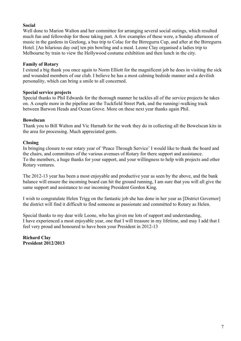## **Social**

Well done to Marion Walton and her committee for arranging several social outings, which resulted much fun and fellowship for those taking part. A few examples of these were, a Sunday afternoon of music in the gardens in Geelong, a bus trip to Colac for the Birregurra Cup, and after at the Birregurra Hotel. [An hilarious day out] ten pin bowling and a meal. Leone Clay organised a ladies trip to Melbourne by train to view the Hollywood costume exhibition and then lunch in the city.

### **Family of Rotary**

I extend a big thank you once again to Norm Elliott for the magnificent job he does in visiting the sick and wounded members of our club. I believe he has a most calming bedside manner and a devilish personality, which can bring a smile to all concerned.

### **Special service projects**

Special thanks to Phil Edwards for the thorough manner he tackles all of the service projects he takes on. A couple more in the pipeline are the Tuckfield Street Park, and the running/-walking track between Barwon Heads and Ocean Grove. More on these next year thanks again Phil.

## **Bowelscan**

Thank you to Bill Walton and Vic Harnath for the work they do in collecting all the Bowelscan kits in the area for processing. Much appreciated gents.

### **Closing**

In bringing closure to our rotary year of 'Peace Through Service' I would like to thank the board and the chairs, and committees of the various avenues of Rotary for there support and assistance. To the members, a huge thanks for your support, and your willingness to help with projects and other Rotary ventures.

The 2012-13 year has been a most enjoyable and productive year as seen by the above, and the bank balance will ensure the incoming board can hit the ground running, I am sure that you will all give the same support and assistance to our incoming President Gordon King.

I wish to congratulate Helen Trigg on the fantastic job she has done in her year as [District Governor] the district will find it difficult to find someone as passionate and committed to Rotary as Helen.

Special thanks to my dear wife Leone, who has given me lots of support and understanding, I have experienced a most enjoyable year, one that I will treasure in my lifetime, and may I add that I feel very proud and honoured to have been your President in 2012-13

**Richard Clay President 2012/2013**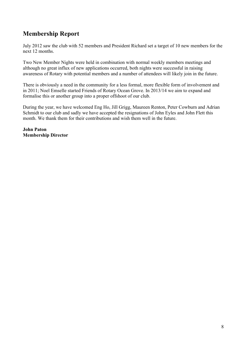# **Membership Report**

July 2012 saw the club with 52 members and President Richard set a target of 10 new members for the next 12 months.

Two New Member Nights were held in combination with normal weekly members meetings and although no great influx of new applications occurred, both nights were successful in raising awareness of Rotary with potential members and a number of attendees will likely join in the future.

There is obviously a need in the community for a less formal, more flexible form of involvement and in 2011; Noel Emselle started Friends of Rotary Ocean Grove. In 2013/14 we aim to expand and formalise this or another group into a proper offshoot of our club.

During the year, we have welcomed Eng Ho, Jill Grigg, Maureen Renton, Peter Cowburn and Adrian Schmidt to our club and sadly we have accepted the resignations of John Eyles and John Flett this month. We thank them for their contributions and wish them well in the future.

**John Paton Membership Director**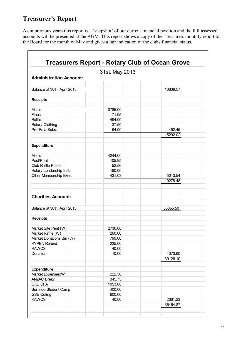# **Treasurer's Report**

As in previous years this report is a 'snapshot' of our current financial position and the full-assessed accounts will be presented at the AGM. This report shows a copy of the Treasurers monthly report to the Board for the month of May and gives a fair indication of the clubs financial status.

| <b>Administration Account:</b>      | 31st. May 2013   |          |
|-------------------------------------|------------------|----------|
|                                     |                  |          |
| Balance at 30th. April 2013         |                  | 10839.57 |
|                                     |                  |          |
| <b>Receipts</b>                     |                  |          |
| <b>Meals</b>                        | 3785.00          |          |
| Fines                               | 71.95            |          |
| Raffle                              | 494.00           |          |
| Rotary Clothing                     | 37.50            |          |
| Pro-Rata Subs.                      | 64.00            | 4452.45  |
|                                     |                  | 15292.02 |
|                                     |                  |          |
| <b>Expenditure</b>                  |                  |          |
|                                     |                  |          |
| Meals                               | 4244.00          |          |
| Post/Print                          | 105.95           |          |
| <b>Club Raffle Prizes</b>           | 52.56            |          |
| Rotary Leadership Inst.             | 180.00           |          |
| Other Membership Exes.              | 431.03           | 5013.54  |
|                                     |                  | 10278.48 |
| <b>Charities Account:</b>           |                  |          |
| Balance at 30th. April 2013         |                  | 35055.50 |
| <b>Receipts</b>                     |                  |          |
|                                     |                  |          |
| Market Site Rent (W)                | 2736.00          |          |
| Market Raffle (W)                   | 260.00           |          |
| Market Donations Bin (W)            | 799.60<br>225.00 |          |
| <b>RYPEN Refund</b><br><b>RAWCS</b> |                  |          |
| Donation                            | 40.00<br>10.00   | 4070.60  |
|                                     |                  | 39126.10 |
|                                     |                  |          |
| <b>Expenditure</b>                  |                  |          |
| Market Expenses(W)                  | 222.50           |          |
| <b>ANZAC Breky</b>                  | 345.73           |          |
| O.G. CFA                            | 1053.00          |          |
| Surfside Student Camp               | 400.00           |          |
| <b>GSE Outing</b>                   | 600.00           |          |
| <b>RAWCS</b>                        | 40.00            | 2661.23  |
|                                     |                  | 36464.87 |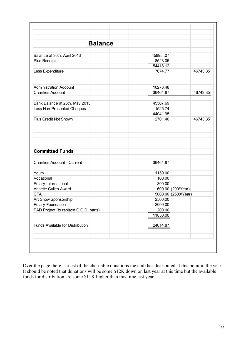| <b>Balance</b>                        |          |                     |          |
|---------------------------------------|----------|---------------------|----------|
|                                       |          |                     |          |
| Balance at 30th. April 2013           | 45895.07 |                     |          |
| Plus Receipts                         | 8523.05  |                     |          |
|                                       | 54418.12 |                     |          |
| Less Expenditure                      | 7674.77  |                     | 46743.35 |
| <b>Administration Account</b>         | 10278.48 |                     |          |
| <b>Charities Account</b>              | 36464.87 |                     | 46743.35 |
| Bank Balance at 26th. May 2013        | 45567.69 |                     |          |
| Less Non-Presented Cheques            | 1525.74  |                     |          |
|                                       | 44041.95 |                     |          |
| Plus Credit Not Shown                 | 2701.40  |                     | 46743.35 |
| <b>Committed Funds</b>                |          |                     |          |
|                                       |          |                     |          |
| <b>Charities Account - Current</b>    | 36464.87 |                     |          |
| Youth                                 | 1150.00  |                     |          |
| Vocational                            | 100.00   |                     |          |
| Rotary International                  | 300.00   |                     |          |
| Annette Cullen Award                  |          | 600.00 (200/Year)   |          |
| <b>CFA</b>                            |          | 5000.00 (2500/Year) |          |
| Art Show Sponsorship                  | 2500.00  |                     |          |
| Rotary Foundation                     | 2000.00  |                     |          |
| PAD Project (to replace O.O.D. parts) | 200.00   |                     |          |
|                                       | 11850.00 |                     |          |
| Funds Available for Distribution      | 24614.87 |                     |          |
|                                       |          |                     |          |

Over the page there is a list of the charitable donations the club has distributed at this point in the year. It should be noted that donations will be some \$12K down on last year at this time but the available funds for distribution are some \$11K higher than this time last year.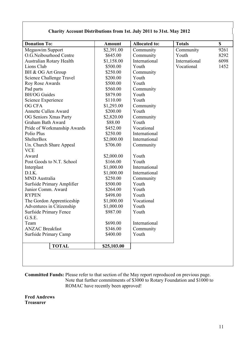## **Charity Account Distributions from 1st. July 2011 to 31st. May 2012**

| Community<br>Community<br>International<br>Youth<br>Community<br>Youth<br>Youth<br>Community<br>Youth<br>Youth<br>Community<br>Youth<br>Community<br>Youth<br>Vocational<br>International<br>International<br>Community<br>Youth | Community<br>Youth<br>International<br>Vocational | 9261<br>8292<br>6098<br>1452 |
|----------------------------------------------------------------------------------------------------------------------------------------------------------------------------------------------------------------------------------|---------------------------------------------------|------------------------------|
|                                                                                                                                                                                                                                  |                                                   |                              |
|                                                                                                                                                                                                                                  |                                                   |                              |
|                                                                                                                                                                                                                                  |                                                   |                              |
|                                                                                                                                                                                                                                  |                                                   |                              |
|                                                                                                                                                                                                                                  |                                                   |                              |
|                                                                                                                                                                                                                                  |                                                   |                              |
|                                                                                                                                                                                                                                  |                                                   |                              |
|                                                                                                                                                                                                                                  |                                                   |                              |
|                                                                                                                                                                                                                                  |                                                   |                              |
|                                                                                                                                                                                                                                  |                                                   |                              |
|                                                                                                                                                                                                                                  |                                                   |                              |
|                                                                                                                                                                                                                                  |                                                   |                              |
|                                                                                                                                                                                                                                  |                                                   |                              |
|                                                                                                                                                                                                                                  |                                                   |                              |
|                                                                                                                                                                                                                                  |                                                   |                              |
|                                                                                                                                                                                                                                  |                                                   |                              |
|                                                                                                                                                                                                                                  |                                                   |                              |
|                                                                                                                                                                                                                                  |                                                   |                              |
|                                                                                                                                                                                                                                  |                                                   |                              |
|                                                                                                                                                                                                                                  |                                                   |                              |
| Youth                                                                                                                                                                                                                            |                                                   |                              |
| International                                                                                                                                                                                                                    |                                                   |                              |
| International                                                                                                                                                                                                                    |                                                   |                              |
| Community                                                                                                                                                                                                                        |                                                   |                              |
| Youth                                                                                                                                                                                                                            |                                                   |                              |
| Youth                                                                                                                                                                                                                            |                                                   |                              |
| Youth                                                                                                                                                                                                                            |                                                   |                              |
| Vocational                                                                                                                                                                                                                       |                                                   |                              |
| Youth                                                                                                                                                                                                                            |                                                   |                              |
| Youth                                                                                                                                                                                                                            |                                                   |                              |
|                                                                                                                                                                                                                                  |                                                   |                              |
|                                                                                                                                                                                                                                  |                                                   |                              |
|                                                                                                                                                                                                                                  |                                                   |                              |
| Youth                                                                                                                                                                                                                            |                                                   |                              |
|                                                                                                                                                                                                                                  |                                                   |                              |
|                                                                                                                                                                                                                                  | International<br>Community                        |                              |

**Committed Funds:** Please refer to that section of the May report reproduced on previous page. Note that further commitments of \$3000 to Rotary Foundation and \$1000 to ROMAC have recently been approved!

**Fred Andrews Treasurer**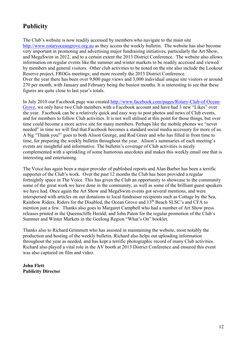# **Publicity**

The Club's website is now readily accessed by members who navigate to the main site http://www.rotaryoceangrove.org.au as they access the weekly bulletin. The website has also become very important in promoting and advertising major fundraising initiatives, particularly the Art Show, and MegaSwim in 2012, and to a certain extent the 2013 District Conference. The website also allows information on regular events like the summer and winter markets to be readily accessed and viewed by members and general visitors. Other club activities to be noted on the site also include the Lookout Reserve project, FROGs meetings; and more recently the 2013 District Conference. Over the year there has been over 9,800 page views and 3,000 individual unique site visitors or around 270 per month, with January and February being the busiest months. It is interesting to see that these figures are quite close to last year's totals.

In July 2010 our Facebook page was created http://www.facebook.com/pages/Rotary-Club-of-Ocean-Grove, we only have two Club members with a Facebook account and have had 3 new "Likes" over the year. Facebook can be a relatively quick and easy way to post photos and news of Club events, and for members to follow Club activities. It is not well utilised at this point for those things, but over time could become a more active site for many members. Perhaps like the mobile phones we "never needed" in time we will find that Facebook becomes a standard social media accessory for more of us. A big "Thank you!" goes to both Alison George, and Rod Greer and who has filled in from time to time, for preparing the weekly bulletin throughout the year. Alison's summaries of each meeting's events are insightful and informative. The bulletin's coverage of Club activities is nicely complemented with a sprinkling of some humorous anecdotes and makes this weekly email one that is interesting and entertaining.

The Voice has again been a major provider of published reports and Alan Barber has been a terrific supporter of the Club's work. Over the past 12 months the Club has been provided a regular fortnightly space in The Voice. This has given the Club an opportunity to showcase to the community some of the great work we have done in the community, as well as some of the brilliant guest speakers we have had. Once again the Art Show and MegaSwim events got several mentions, and were interspersed with articles on our donations to local fundraiser recipients such as Cottage by the Sea, Rainbow Riders, Riders for the Disabled, the Ocean Grove and 13th Beach SLSC's and CFA to mention just a few. Thanks also goes to Margaret Campbell who had a number of Art Show press releases printed in the Queenscliffe Herald; and John Paton for the regular promotion of the Club's Summer and Winter Markets in the Geelong Region "What's On" booklet.

Thanks also to Richard Grimmett who has assisted in maintaining the website, most notably the production and hosting of the weekly bulletin. Richard also helps out uploading information throughout the year as needed, and has kept a terrific photographic record of many Club activities. Richard also played a vital role in the AV booth at 2013 District Conference and ensured this event was also captured on film and video.

**John Flett Publicity Director**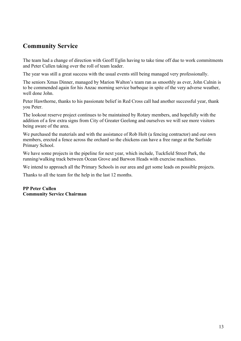# **Community Service**

The team had a change of direction with Geoff Eglin having to take time off due to work commitments and Peter Cullen taking over the roll of team leader.

The year was still a great success with the usual events still being managed very professionally.

The seniors Xmas Dinner, managed by Marion Walton's team ran as smoothly as ever, John Calnin is to be commended again for his Anzac morning service barbeque in spite of the very adverse weather, well done John.

Peter Hawthorne, thanks to his passionate belief in Red Cross call had another successful year, thank you Peter.

The lookout reserve project continues to be maintained by Rotary members, and hopefully with the addition of a few extra signs from City of Greater Geelong and ourselves we will see more visitors being aware of the area.

We purchased the materials and with the assistance of Rob Holt (a fencing contractor) and our own members, erected a fence across the orchard so the chickens can have a free range at the Surfside Primary School.

We have some projects in the pipeline for next year, which include, Tuckfield Street Park, the running/walking track between Ocean Grove and Barwon Heads with exercise machines.

We intend to approach all the Primary Schools in our area and get some leads on possible projects.

Thanks to all the team for the help in the last 12 months.

# **PP Peter Cullen Community Service Chairman**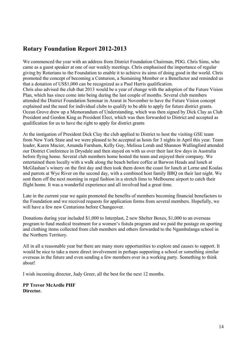# **Rotary Foundation Report 2012-2013**

We commenced the year with an address from District Foundation Chairman, PDG. Chris Sims, who came as a guest speaker at one of our weekly meetings. Chris emphasised the importance of regular giving by Rotarians to the Foundation to enable it to achieve its aims of doing good in the world. Chris promoted the concept of becoming a Centurion, a Sustaining Member or a Benefactor and reminded us that a donation of US\$1,000 can be recognized as a Paul Harris qualification. Chris also advised the club that 2013 would be a year of change with the adoption of the Future Vision Plan, which has since come into being during the last couple of months. Several club members attended the District Foundation Seminar in Ararat in November to have the Future Vision concept explained and the need for individual clubs to qualify to be able to apply for future district grants. Ocean Grove drew up a Memorandum of Understanding, which was then signed by Dick Clay as Club President and Gordon King as President Elect, which was then forwarded to District and accepted as qualification for us to have the right to apply for district grants

At the instigation of President Dick Clay the club applied to District to host the visiting GSE team from New York State and we were pleased to be accepted as hosts for 3 nights in April this year. Team leader, Karen Macier, Amanda Farnham, Kelly Guy, Melissa Lorah and Shannon Wallingford attended our District Conference in Drysdale and then stayed on with us over their last few days in Australia before flying home. Several club members home hosted the team and enjoyed their company. We entertained them locally with a walk along the beach before coffee at Barwon Heads and lunch at McGlashan's winery on the first day and then took them down the coast for lunch at Lorne and Koalas and parrots at Wye River on the second day, with a combined host family BBQ on their last night. We sent them off the next morning in regal fashion in a stretch limo to Melbourne airport to catch their flight home. It was a wonderful experience and all involved had a great time.

Late in the current year we again promoted the benefits of members becoming financial benefactors to the Foundation and we received requests for application forms from several members. Hopefully, we will have a few new Centurions before Changeover.

Donations during year included \$1,000 to Interplast, 2 new Shelter Boxes, \$1,000 to an overseas program to fund medical treatment for a women's fistula program and we paid the postage on sporting and clothing items collected from club members and others forwarded to the Ngambalanga school in the Northern Territory.

All in all a reasonable year but there are many more opportunities to explore and causes to support. It would be nice to take a more direct involvement in perhaps supporting a school or something similar overseas in the future and even sending a few members over in a working party. Something to think about!

I wish incoming director, Judy Greer, all the best for the next 12 months.

**PP Trevor McArdle PHF Director.**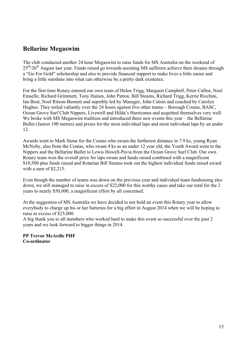# **Bellarine Megaswim**

The club conducted another 24 hour Megaswim to raise funds for MS Australia on the weekend of  $25<sup>th</sup>/26<sup>th</sup>$  August last year. Funds raised go towards assisting MS sufferers achieve their dreams through a "Go For Gold" scholarship and also to provide financial support to make lives a little easier and bring a little sunshine into what can otherwise be a pretty dark existence.

For the first time Rotary entered our own team of Helen Trigg, Margaret Campbell, Peter Cullen, Noel Emselle, Richard Grimmett, Tony Haines, John Patton, Bill Steains, Richard Trigg, Kerrie Ricchini, Ian Bent, Noel Ritson-Bennett and superbly led by Manager, John Calnin and coached by Carolyn Hughes. They toiled valiantly over the 24 hours against five other teams – Borough Coutas, BASC, Ocean Grove Surf Club Nippers, Livewell and Hilda's Hurricanes and acquitted themselves very well. We broke with MS Megaswim tradition and introduced three new events this year – the Bellarine Bullet (fastest 100 metres) and prizes for the most individual laps and most individual laps by an under 12.

Awards went to Mark Stone for the Coutas who swum the furtherest distance in 7.9 ks, young Ryan McNolty, also from the Coutas, who swam 4 ks as an under 12 year old, the Youth Award went to the Nippers and the Bellarine Bullet to Lewis Howell-Pavia from the Ocean Grove Surf Club. Our own Rotary team won the overall prize for laps swum and funds raised combined with a magnificent \$10,500 plus funds raised and Rotarian Bill Steains took out the highest individual funds raised award with a sum of \$2,215.

Even though the number of teams was down on the previous year and individual team fundraising also down, we still managed to raise in excess of \$22,000 for this worthy cause and take our total for the 2 years to nearly \$50,000, a magnificent effort by all concerned.

At the suggestion of MS Australia we have decided to not hold an event this Rotary year to allow everybody to charge up his or her batteries for a big effort in August 2014 when we will be hoping to raise in excess of \$25,000.

A big thank you to all members who worked hard to make this event so successful over the past 2 years and we look forward to bigger things in 2014.

**PP Trevor McArdle PHF Co-ordinator**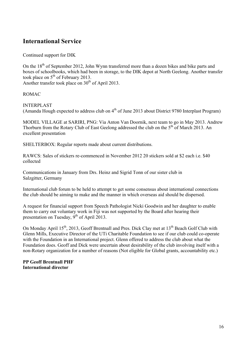# **International Service**

Continued support for DIK

On the  $18<sup>th</sup>$  of September 2012, John Wynn transferred more than a dozen bikes and bike parts and boxes of schoolbooks, which had been in storage, to the DIK depot at North Geelong. Another transfer took place on  $5<sup>th</sup>$  of February 2013. Another transfer took place on  $30<sup>th</sup>$  of April 2013.

ROMAC

INTERPLAST

(Amanda Hough expected to address club on  $4<sup>th</sup>$  of June 2013 about District 9780 Interplast Program)

MODEL VILLAGE at SARIRI, PNG: Via Anton Van Doornik, next team to go in May 2013. Andrew Thorburn from the Rotary Club of East Geelong addressed the club on the 5<sup>th</sup> of March 2013. An excellent presentation

SHELTERBOX: Regular reports made about current distributions.

RAWCS: Sales of stickers re-commenced in November 2012 20 stickers sold at \$2 each i.e. \$40 collected

Communications in January from Drs. Heinz and Sigrid Tonn of our sister club in Salzgitter, Germany

International club forum to be held to attempt to get some consensus about international connections the club should be aiming to make and the manner in which overseas aid should be dispersed.

A request for financial support from Speech Pathologist Nicki Goodwin and her daughter to enable them to carry out voluntary work in Fiji was not supported by the Board after hearing their presentation on Tuesday,  $9^{th}$  of April 2013.

On Monday April 15<sup>th</sup>, 2013, Geoff Brentnall and Pres. Dick Clay met at 13<sup>th</sup> Beach Golf Club with Glenn Mills, Executive Director of the UTi Charitable Foundation to see if our club could co-operate with the Foundation in an International project. Glenn offered to address the club about what the Foundation does. Geoff and Dick were uncertain about desirability of the club involving itself with a non-Rotary organization for a number of reasons (Not eligible for Global grants, accountability etc.)

**PP Geoff Brentnall PHF International director**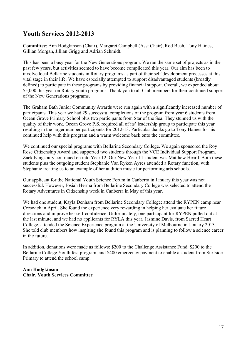# **Youth Services 2012-2013**

**Committee**: Ann Hodgkinson (Chair), Margaret Campbell (Asst Chair), Rod Bush, Tony Haines, Gillian Morgan, Jillian Grigg and Adrian Schmidt.

This has been a busy year for the New Generations program. We ran the same set of projects as in the past few years, but activities seemed to have become complicated this year. Our aim has been to involve local Bellarine students in Rotary programs as part of their self-development processes at this vital stage in their life. We have especially attempted to support disadvantaged students (broadly defined) to participate in these programs by providing financial support. Overall, we expended about \$5,000 this year on Rotary youth programs. Thank you to all Club members for their continued support of the New Generations programs.

The Graham Bath Junior Community Awards were run again with a significantly increased number of participants. This year we had 29 successful completions of the program from year 6 students from Ocean Grove Primary School plus two participants from Star of the Sea. They stunned us with the quality of their work. Ocean Grove P.S. required all of its' leadership group to participate this year resulting in the larger number participants for 2012-13. Particular thanks go to Tony Haines for his continued help with this program and a warm welcome back onto the committee.

We continued our special programs with Bellarine Secondary College. We again sponsored the Roy Rose Citizenship Award and supported two students through the VCE Individual Support Program. Zack Kingsbury continued on into Year 12. Our New Year 11 student was Matthew Heard. Both these students plus the outgoing student Stephanie Van Ryken Ayres attended a Rotary function, with Stephanie treating us to an example of her audition music for performing arts schools.

Our applicant for the National Youth Science Forum in Canberra in January this year was not successful. However, Josiah Herma from Bellarine Secondary College was selected to attend the Rotary Adventures in Citizenship week in Canberra in May of this year.

We had one student, Kayla Denham from Bellarine Secondary College; attend the RYPEN camp near Creswick in April. She found the experience very rewarding in helping her evaluate her future directions and improve her self-confidence. Unfortunately, one participant for RYPEN pulled out at the last minute, and we had no applicants for RYLA this year. Jasmine Davis, from Sacred Heart College, attended the Science Experience program at the University of Melbourne in January 2013. She told club members how inspiring she found this program and is planning to follow a science career in the future.

In addition, donations were made as follows: \$200 to the Challenge Assistance Fund, \$200 to the Bellarine College Youth fest program, and \$400 emergency payment to enable a student from Surfside Primary to attend the school camp.

### **Ann Hodgkinson Chair, Youth Services Committee**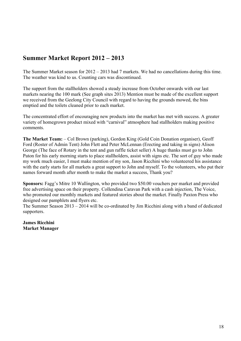# **Summer Market Report 2012 – 2013**

The Summer Market season for 2012 – 2013 had 7 markets. We had no cancellations during this time. The weather was kind to us. Counting cars was discontinued.

The support from the stallholders showed a steady increase from October onwards with our last markets nearing the 100 mark (See graph sites 2013) Mention must be made of the excellent support we received from the Geelong City Council with regard to having the grounds mowed, the bins emptied and the toilets cleaned prior to each market.

The concentrated effort of encouraging new products into the market has met with success. A greater variety of homegrown product mixed with "carnival" atmosphere had stallholders making positive comments.

**The Market Team:** – Col Brown (parking), Gordon King (Gold Coin Donation organiser), Geoff Ford (Roster of Admin Tent) John Flett and Peter McLennan (Erecting and taking in signs) Alison George (The face of Rotary in the tent and gun raffle ticket seller) A huge thanks must go to John Paton for his early morning starts to place stallholders, assist with signs etc. The sort of guy who made my work much easier, I must make mention of my son, Jason Ricchini who volunteered his assistance with the early starts for all markets a great support to John and myself. To the volunteers, who put their names forward month after month to make the market a success, Thank you?

**Sponsors:** Fagg's Mitre 10 Wallington, who provided two \$50.00 vouchers per market and provided free advertising space on their property. Collendina Caravan Park with a cash injection, The Voice, who promoted our monthly markets and featured stories about the market. Finally Paxton Press who designed our pamphlets and flyers etc.

The Summer Season 2013 – 2014 will be co-ordinated by Jim Ricchini along with a band of dedicated supporters.

**James Ricchini Market Manager**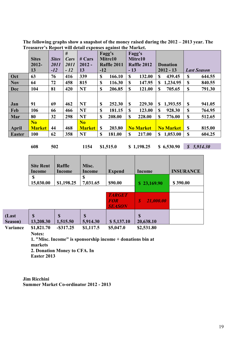|               | <b>Sites</b>   | <b>Sites</b> | #<br><b>Cars</b> | # Cars         |               | $\mathbf{\Xi}$<br>Fagg's<br>Mitre10 |               | Fagg's<br>Mitre10  |    |                  |    |                    |
|---------------|----------------|--------------|------------------|----------------|---------------|-------------------------------------|---------------|--------------------|----|------------------|----|--------------------|
|               | $2012 -$       | 2011         | 2011             | $2012 -$       |               | <b>Raffle 2011</b>                  |               | <b>Raffle 2012</b> |    | <b>Donation</b>  |    |                    |
|               | 13             | $-12$        | $-12$            | 13             | $-12$         |                                     | $-13$         |                    |    | $2012 - 13$      |    | <b>Last Season</b> |
| Oct           | 63             | 76           | 416              | 339            | \$            | 166.10                              | <sup>\$</sup> | 132.00             | \$ | 439.45           | S  | 644.55             |
| <b>Nov</b>    | 64             | 72           | 458              | 815            | <sup>\$</sup> | 116.30                              | <sup>\$</sup> | 147.95             | S. | 1,234.95         | S  | 840.55             |
| <b>Dec</b>    | 104            | 81           | 420              | <b>NT</b>      | \$            | 206.85                              | \$            | 121.00             | \$ | 705.65           | \$ | 791.30             |
|               |                |              |                  |                |               |                                     |               |                    |    |                  |    |                    |
| Jan           | 91             | 69           | 462              | <b>NT</b>      | <sup>\$</sup> | 252.30                              | <sup>\$</sup> | 229.30             | S. | 1,393.55         | S  | 941.05             |
| Feb           | 106            | 66           | 466              | <b>NT</b>      | \$            | 181.15                              | \$            | 123.00             | S  | 928.30           | \$ | 764.95             |
| Mar           | 80             | 32           | 298              | <b>NT</b>      | $\mathbf S$   | 208.00                              | $\mathbf S$   | 228.00             | \$ | 776.00           | \$ | 512.65             |
|               | N <sub>0</sub> |              |                  | N <sub>o</sub> |               |                                     |               |                    |    |                  |    |                    |
| <b>April</b>  | <b>Market</b>  | 44           | 468              | <b>Market</b>  | $\mathbf S$   | 203.80                              |               | <b>No Market</b>   |    | <b>No Market</b> | S  | 815.00             |
| <b>Easter</b> | 100            | 62           | 358              | <b>NT</b>      | \$            | 181.00                              | \$            | 217.00             | S. | 1,053.00         | S  | 604.25             |

**The following graphs show a snapshot of the money raised during the 2012 – 2013 year. The Treasurer's Report will detail expenses against the Market.**

**608 502 1154 \$1,515.0 \$ 1,198.25 \$ 6,530.90** *\$ 5,914.30* 

|                  | <b>Site Rent</b><br>Income | Raffle<br>Income        | Misc.<br>Income         | <b>Expend</b>                                | Income                        | <b>INSURANCE</b> |
|------------------|----------------------------|-------------------------|-------------------------|----------------------------------------------|-------------------------------|------------------|
|                  | \$<br>15,030.00            | \$1,198.25              | \$<br>7,031.65          | \$90.00                                      | \$23,169.90                   | \$390.00         |
|                  |                            |                         |                         |                                              |                               |                  |
|                  |                            |                         |                         | <b>TARGET</b><br><b>FOR</b><br><b>SEASON</b> | 21,000.00<br>$\boldsymbol{s}$ |                  |
| (Last<br>Season) | \$<br>13,208.30            | $\mathbf S$<br>1,515.50 | $\mathbf S$<br>5,914.30 | \$5,137.10                                   | <b>S</b><br>20,638.10         |                  |
| Variance         | \$1,821.70                 | $-$ \$317.25            | \$1,117.5               | \$5,047.0                                    | \$2,531.80                    |                  |

**Notes:**

**1. "Misc. Income" is sponsorship income + donations bin at markets**

**2. Donation Money to CFA. In Easter 2013**

**Jim Ricchini Summer Market Co-ordinator 2012 - 2013**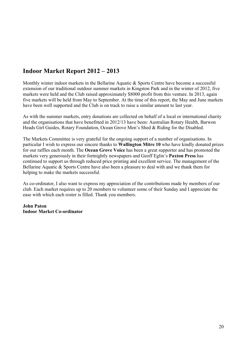# **Indoor Market Report 2012 – 2013**

Monthly winter indoor markets in the Bellarine Aquatic & Sports Centre have become a successful extension of our traditional outdoor summer markets in Kingston Park and in the winter of 2012, five markets were held and the Club raised approximately \$8000 profit from this venture. In 2013, again five markets will be held from May to September. At the time of this report, the May and June markets have been well supported and the Club is on track to raise a similar amount to last year.

As with the summer markets, entry donations are collected on behalf of a local or international charity and the organisations that have benefitted in 2012/13 have been: Australian Rotary Health, Barwon Heads Girl Guides, Rotary Foundation, Ocean Grove Men's Shed & Riding for the Disabled.

The Markets Committee is very grateful for the ongoing support of a number of organisations. In particular I wish to express our sincere thanks to **Wallington Mitre 10** who have kindly donated prizes for our raffles each month. The **Ocean Grove Voice** has been a great supporter and has promoted the markets very generously in their fortnightly newspapers and Geoff Eglin's **Paxton Press** has continued to support us through reduced price printing and excellent service. The management of the Bellarine Aquatic & Sports Centre have also been a pleasure to deal with and we thank them for helping to make the markets successful.

As co-ordinator, I also want to express my appreciation of the contributions made by members of our club. Each market requires up to 20 members to volunteer some of their Sunday and I appreciate the ease with which each roster is filled. Thank you members.

**John Paton Indoor Market Co-ordinator**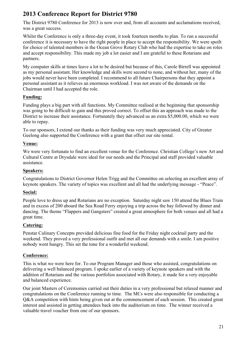# **2013 Conference Report for District 9780**

The District 9780 Conference for 2013 is now over and, from all accounts and acclamations received, was a great success.

Whilst the Conference is only a three-day event, it took fourteen months to plan. To run a successful conference it is necessary to have the right people in place to accept the responsibility. We were spoilt for choice of talented members in the Ocean Grove Rotary Club who had the expertise to take on roles and accept responsibility. This made my job a lot easier and I am grateful to these Rotarians and partners.

My computer skills at times leave a lot to be desired but because of this, Carole Birrell was appointed as my personal assistant. Her knowledge and skills were second to none, and without her, many of the jobs would never have been completed. I recommend to all future Chairpersons that they appoint a personal assistant as it relieves an enormous workload. I was not aware of the demands on the Chairman until I had accepted the role.

# **Funding:**

Funding plays a big part with all functions. My Committee realised at the beginning that sponsorship was going to be difficult to gain and this proved correct. To offset this an approach was made to the District to increase their assistance. Fortunately they advanced us an extra \$5,000.00, which we were able to repay.

To our sponsors, I extend our thanks as their funding was very much appreciated. City of Greater Geelong also supported the Conference with a grant that offset our site rental.

# **Venue:**

We were very fortunate to find an excellent venue for the Conference. Christian College's new Art and Cultural Centre at Drysdale were ideal for our needs and the Principal and staff provided valuable assistance.

# **Speakers:**

Congratulations to District Governor Helen Trigg and the Committee on selecting an excellent array of keynote speakers. The variety of topics was excellent and all had the underlying message - "Peace".

# **Social:**

People love to dress up and Rotarians are no exception. Saturday night saw 150 attend the Blues Train and in excess of 200 aboard the Sea Road Ferry enjoying a trip across the bay followed by dinner and dancing. The theme "Flappers and Gangsters" created a great atmosphere for both venues and all had a great time.

# **Catering:**

Penstar Culinary Concepts provided delicious fine food for the Friday night cocktail party and the weekend. They proved a very professional outfit and met all our demands with a smile. I am positive nobody went hungry. This set the tone for a wonderful weekend.

# **Conference:**

This is what we were here for. To our Program Manager and those who assisted, congratulations on delivering a well balanced program. I spoke earlier of a variety of keynote speakers and with the addition of Rotarians and the various portfolios associated with Rotary, it made for a very enjoyable and balanced experience.

Our joint Masters of Ceremonies carried out their duties in a very professional but relaxed manner and congratulations on the Conference running to time. The MCs were also responsible for conducting a Q&A competition with hints being given out at the commencement of each session. This created great interest and assisted in getting attendees back into the auditorium on time. The winner received a valuable travel voucher from one of our sponsors.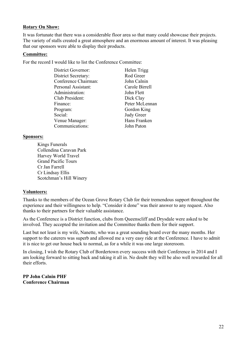#### **Rotary On Show:**

It was fortunate that there was a considerable floor area so that many could showcase their projects. The variety of stalls created a great atmosphere and an enormous amount of interest. It was pleasing that our sponsors were able to display their products.

#### **Committee:**

For the record I would like to list the Conference Committee:

| District Governor:   | Helen Trigg       |
|----------------------|-------------------|
| District Secretary:  | Rod Greer         |
| Conference Chairman: | John Calnin       |
| Personal Assistant:  | Carole Birrell    |
| Administration:      | John Flett        |
| Club President:      | Dick Clay         |
| Finance:             | Peter McLennan    |
| Program:             | Gordon King       |
| Social:              | <b>Judy Greer</b> |
| Venue Manager:       | Hans Franken      |
| Communications:      | John Paton        |

#### **Sponsors:**

Kings Funerals Collendina Caravan Park Harvey World Travel Grand Pacific Tours Cr Jan Farrell Cr Lindsay Ellis Scotchman's Hill Winery

### **Volunteers:**

Thanks to the members of the Ocean Grove Rotary Club for their tremendous support throughout the experience and their willingness to help. "Consider it done" was their answer to any request. Also thanks to their partners for their valuable assistance.

As the Conference is a District function, clubs from Queenscliff and Drysdale were asked to be involved. They accepted the invitation and the Committee thanks them for their support.

Last but not least is my wife, Nanette, who was a great sounding board over the many months. Her support to the caterers was superb and allowed me a very easy ride at the Conference. I have to admit it is nice to get our house back to normal, as for a while it was one large storeroom.

In closing, I wish the Rotary Club of Bordertown every success with their Conference in 2014 and I am looking forward to sitting back and taking it all in. No doubt they will be also well rewarded for all their efforts.

**PP John Calnin PHF Conference Chairman**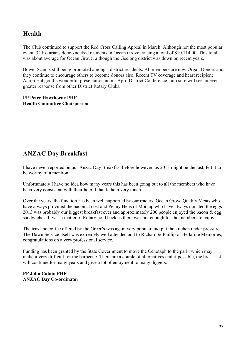# **Health**

The Club continued to support the Red Cross Calling Appeal in March. Although not the most popular event, 32 Rotarians door-knocked residents in Ocean Grove, raising a total of \$10,114.00. This total was about average for Ocean Grove, although the Geelong district was down on recent years.

Bowel Scan is still being promoted amongst district residents. All members are now Organ Donors and they continue to encourage others to become donors also. Recent TV coverage and heart recipient Aaron Habgood's wonderful presentation at our April District Conference I am sure will see an even greater response from other District Rotary Clubs.

#### **PP Peter Hawthorne PHF Health Committee Chairperson**

# **ANZAC Day Breakfast**

I have never reported on our Anzac Day Breakfast before however, as 2013 might be the last, felt it to be worthy of a mention.

Unfortunately I have no idea how many years this has been going but to all the members who have been very consistent with their help, I thank them very much.

Over the years, the function has been well supported by our traders, Ocean Grove Quality Meats who have always provided the bacon at cost and Penny Hens of Moolap who have always donated the eggs 2013 was probably our biggest breakfast ever and approximately 200 people enjoyed the bacon & egg sandwiches. It was a matter of Rotary hold back as there was not enough for the members to enjoy.

The teas and coffee offered by the Greer's was again very popular and put the kitchen under pressure. The Dawn Service itself was extremely well attended and to Richard & Phillip of Bellarine Memories, congratulations on a very professional service.

Funding has been granted by the State Government to move the Cenotaph to the park, which may make it very difficult for the barbecue. There are a couple of alternatives and if possible, the breakfast will continue for many years and give a lot of enjoyment to many diggers.

### **PP John Calnin PHF ANZAC Day Co-ordinator**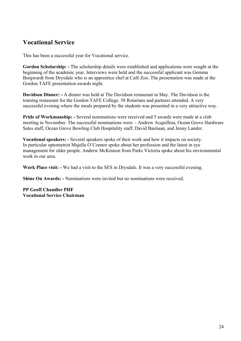# **Vocational Service**

This has been a successful year for Vocational service.

**Gordon Scholarship: -** The scholarship details were established and applications were sought at the beginning of the academic year. Interviews were held and the successful applicant was Gemma Borgwardt from Drysdale who is an apprentice chef at Café Zoo. The presentation was made at the Gordon TAFE presentation awards night.

**Davidson Dinner: -** A dinner was held at The Davidson restaurant in May. The Davidson is the training restaurant for the Gordon TAFE College. 58 Rotarians and partners attended. A very successful evening where the meals prepared by the students was presented in a very attractive way.

**Pride of Workmanship: -** Several nominations were received and 5 awards were made at a club meeting in November. The successful nominations were: - Andrew Acquillina, Ocean Grove Hardware Sales staff, Ocean Grove Bowling Club Hospitality staff, David Bastiaan, and Jenny Lander.

**Vocational speakers: -** Several speakers spoke of their work and how it impacts on society. In particular optometrist Majella O'Connor spoke about her profession and the latest in eye management for older people. Andrew McKinnon from Parks Victoria spoke about his environmental work in our area.

**Work Place visit: -** We had a visit to the SES in Drysdale. It was a very successful evening.

**Shine On Awards: -** Nominations were invited but no nominations were received.

**PP Geoff Chandler PHF Vocational Service Chairman**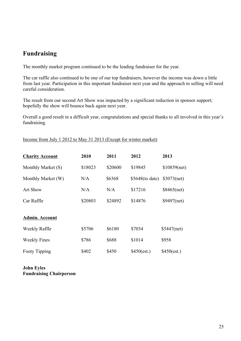# **Fundraising**

The monthly market program continued to be the leading fundraiser for the year.

The car raffle also continued to be one of our top fundraisers, however the income was down a little from last year. Participation in this important fundraiser next year and the approach to selling will need careful consideration.

The result from our second Art Show was impacted by a significant reduction in sponsor support; hopefully the show will bounce back again next year.

Overall a good result in a difficult year, congratulations and special thanks to all involved in this year's fundraising.

Income from July 1 2012 to May 31 2013 (Except for winter market)

| <b>Charity Account</b> | 2010    | 2011    | 2012              | 2013           |
|------------------------|---------|---------|-------------------|----------------|
| Monthly Market (S)     | \$18023 | \$20600 | \$19845           | $$10859$ (net) |
| Monthly Market (W)     | N/A     | \$6368  | $$5648$ (to date) | $$3073$ (net)  |
| <b>Art Show</b>        | N/A     | N/A     | \$17216           | $$8465$ (net)  |
| Car Raffle             | \$20803 | \$24892 | \$14876           | $$9497$ (net)  |
| <b>Admin. Account</b>  |         |         |                   |                |
| Weekly Raffle          | \$5706  | \$6180  | \$7034            | $$5447$ (net)  |
| <b>Weekly Fines</b>    | \$786   | \$688   | \$1014            | \$958          |
| Footy Tipping          | \$402   | \$450   | \$450(est.)       | \$450(est.)    |

**John Eyles Fundraising Chairperson**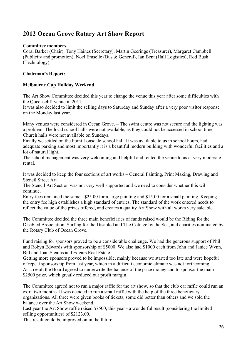# **2012 Ocean Grove Rotary Art Show Report**

### **Committee members.**

Coral Barker (Chair), Tony Haines (Secretary), Martin Geerings (Treasurer), Margaret Campbell (Publicity and promotion), Noel Emselle (Bus & General), Ian Bent (Hall Logistics), Rod Bush (Technology).

# **Chairman's Report:**

### **Melbourne Cup Holiday Weekend**

The Art Show Committee decided this year to change the venue this year after some difficulties with the Queenscliff venue in 2011.

It was also decided to limit the selling days to Saturday and Sunday after a very poor visitor response on the Monday last year.

Many venues were considered in Ocean Grove. – The swim centre was not secure and the lighting was a problem. The local school halls were not available, as they could not be accessed in school time. Church halls were not available on Sundays.

Finally we settled on the Point Lonsdale school hall. It was available to us in school hours, had adequate parking and most importantly it is a beautiful modern building with wonderful facilities and a lot of natural light.

The school management was very welcoming and helpful and rented the venue to us at very moderate rental.

It was decided to keep the four sections of art works – General Painting, Print Making, Drawing and Stencil Street Art.

The Stencil Art Section was not very well supported and we need to consider whether this will continue.

Entry fees remained the same - \$25.00 for a large painting and \$15.00 for a small painting. Keeping the entry fee high establishes a high standard of entries. The standard of the work entered needs to reflect the value of the prizes offered, and creates a quality Art Show with all works very saleable.

The Committee decided the three main beneficiaries of funds raised would be the Riding for the Disabled Association, Surfing for the Disabled and The Cottage by the Sea, and charities nominated by the Rotary Club of Ocean Grove.

Fund raising for sponsors proved to be a considerable challenge. We had the generous support of Phil and Robyn Edwards with sponsorship of \$5000. We also had \$1000 each from John and Janice Wynn, Bill and Joan Steains and Edgars Real Estate.

Getting more sponsors proved to be impossible, mainly because we started too late and were hopeful of repeat sponsorship from last year, which in a difficult economic climate was not forthcoming. As a result the Board agreed to underwrite the balance of the prize money and to sponsor the main \$2500 prize, which greatly reduced our profit margin.

The Committee agreed not to run a major raffle for the art show, so that the club car raffle could run an extra two months. It was decided to run a small raffle with the help of the three beneficiary organizations. All three were given books of tickets, some did better than others and we sold the balance over the Art Show weekend.

Last year the Art Show raffle raised \$7500, this year - a wonderful result (considering the limited selling opportunities) of \$2123.00.

This result could be improved on in the future.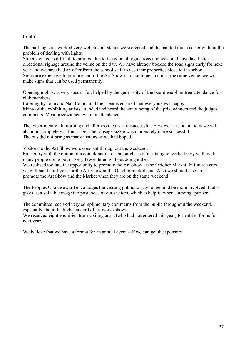Cont'd.

The hall logistics worked very well and all stands were erected and dismantled much easier without the problem of dealing with lights.

Street signage is difficult to arrange due to the council regulations and we could have had better directional signage around the venue on the day. We have already booked the road signs early for next year and we have had an offer from the school staff to use their properties close to the school. Signs are expensive to produce and if the Art Show is to continue, and is at the same venue, we will make signs that can be used permanently.

Opening night was very successful, helped by the generosity of the board enabling free attendance for club members.

Catering by John and Nan Calnin and their teams ensured that everyone was happy. Many of the exhibiting artists attended and heard the announcing of the prizewinners and the judges comments. Most prizewinners were in attendance.

The experiment with morning and afternoon tea was unsuccessful. However it is not an idea we will abandon completely at this stage. The sausage sizzle was moderately more successful. The bus did not bring as many visitors as we had hoped.

Visitors to the Art Show were constant throughout the weekend.

Free entry with the option of a coin donation or the purchase of a catalogue worked very well, with many people doing both – very few entered without doing either.

We realised too late the opportunity to promote the Art Show at the October Market. In future years we will hand out flyers for the Art Show at the October market gate. Also we should also cross promote the Art Show and the Market when they are on the same weekend.

The Peoples Choice award encourages the visiting public to stay longer and be more involved. It also gives us a valuable insight to postcodes of our visitors, which is helpful when sourcing sponsors.

The committee received very complimentary comments from the public throughout the weekend, especially about the high standard of art works shown.

We received eight enquiries from visiting artist (who had not entered this year) for entries forms for next year.

We believe that we have a format for an annual event  $-$  if we can get the sponsors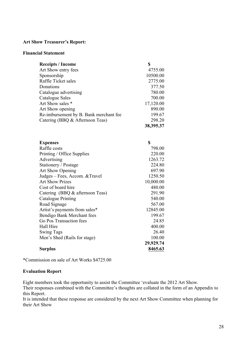### **Art Show Treasurer's Report:**

#### **Financial Statement**

| <b>Receipts / Income</b>                                    | \$                 |
|-------------------------------------------------------------|--------------------|
| Art Show entry fees                                         | 4755.00            |
| Sponsorship                                                 | 10500.00           |
| Raffle Ticket sales                                         | 2775.00            |
| Donations                                                   | 377.50             |
| Catalogue advertising                                       | 780.00             |
| Catalogue Sales                                             | 700.00             |
| Art Show sales *                                            | 17,120.00          |
| Art Show opening                                            | 890.00             |
| Re-imbursement by B. Bank merchant fee                      | 199.67             |
| Catering (BBQ & Afternoon Teas)                             | 298.20             |
|                                                             | 38,395.37          |
|                                                             |                    |
|                                                             |                    |
| <b>Expenses</b>                                             | \$                 |
| Raffle costs                                                | 798.00             |
| Printing / Office Supplies                                  | 220.00             |
| Advertising                                                 | 1263.72            |
| Stationery / Postage                                        | 224.80             |
| <b>Art Show Opening</b>                                     | 697.90             |
| Judges - Fees, Accom. & Travel                              | 1250.50            |
| <b>Art Show Prizes</b>                                      | 10,000.00          |
| Cost of board hire                                          | 480.00             |
| Catering (BBQ & afternoon Teas)                             | 291.90<br>540.00   |
| <b>Catalogue Printing</b>                                   |                    |
| Road Signage                                                | 567.00<br>12845.00 |
| Artist's payments from sales*<br>Bendigo Bank Merchant fees | 199.67             |
| Go Pos Transaction fees                                     | 24.85              |
| Hall Hire                                                   | 400.00             |
| <b>Swing Tags</b>                                           | 26.40              |
|                                                             | 100.00             |
| Men's Shed (Rails for stage)                                | 29,929.74          |
|                                                             | 8465.63            |
| <b>Surplus</b>                                              |                    |

\*Commission on sale of Art Works \$4725.00

### **Evaluation Report**

Eight members took the opportunity to assist the Committee 'evaluate the 2012 Art Show.

Their responses combined with the Committee's thoughts are collated in the form of an Appendix to this Report.

It is intended that these response are considered by the next Art Show Committee when planning for their Art Show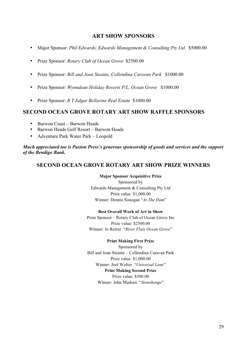# **ART SHOW SPONSORS**

- Major Sponsor: *Phil Edwards, Edwards Management & Consulting Pty Ltd* \$5000.00
- Prize Sponsor: *Rotary Club of Ocean Grove* \$2500.00
- Prize Sponsor: *Bill and Joan Steains, Collendina Caravan Park* \$1000.00
- Prize Sponsor: *Wynndean Holiday Resorts P/L, Ocean Grove* \$1000.00
- Prize Sponsor: *R T Edgar Bellarine Real Estate* \$1000.00

# **SECOND OCEAN GROVE ROTARY ART SHOW RAFFLE SPONSORS**

- Barwon Coast Barwon Heads
- Barwon Heads Golf Resort Barwon Heads
- Adventure Park Water Park Leopold

*Much appreciated too is Paxton Press's generous sponsorship of goods and services and the support of the Bendigo Bank.*

# **SECOND OCEAN GROVE ROTARY ART SHOW PRIZE WINNERS**

#### **Major Sponsor Acquisitive Prize**

Sponsored by Edwards Management & Consulting Pty Ltd Prize value: \$1,000.00 Winner: Dennis Sonogan "*At The Dam*"

#### **Best Overall Work of Art in Show**

Prize Sponsor – Rotary Club of Ocean Grove Inc Prize value: \$2500.00 Winner: Jo Reitze "*River Flats Ocean Grove*"

#### **Print Making First Prize**

Sponsored by Bill and Joan Steains – Collendina Caravan Park Prize value: \$1,000.00 Winner: Joel Wolter "*Universal Lane*" **Print Making Second Prize** Prize value: \$500.00 Winner: John Madsen "*Stonehenge*"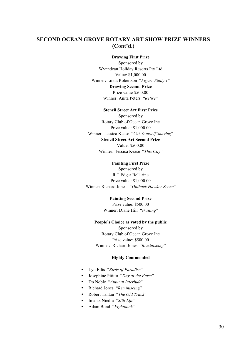# **SECOND OCEAN GROVE ROTARY ART SHOW PRIZE WINNERS (Cont'd.)**

#### **Drawing First Prize**

Sponsored by Wynndean Holiday Resorts Pty Ltd Value: \$1,000.00 Winner: Linda Robertson "*Figure Study 1*" **Drawing Second Prize** Prize value \$500.00 Winner: Anita Peters "*Retire"*

#### **Stencil Street Art First Prize**

Sponsored by Rotary Club of Ocean Grove Inc Prize value: \$1,000.00 Winner: Jessica Kease "*Cut Yourself Shaving*" **Stencil Street Art Second Prize** Value: \$500.00 Winner: Jessica Kease "*This City*"

#### **Painting First Prize**

Sponsored by R T Edgar Bellarine Prize value: \$1,000.00 Winner: Richard Jones "*Outback Hawker Scene*"

#### **Painting Second Prize**

Prize value: \$500.00 Winner: Diane Hill "*Waiting*"

#### **People's Choice as voted by the public**

Sponsored by Rotary Club of Ocean Grove Inc Prize value: \$500.00 Winner: Richard Jones "*Reminiscing*"

#### **Highly Commended**

- Lyn Ellis "*Birds of Paradise*"
- Josephine Pititto "*Day at the Farm*"
- Do Noble "*Autumn Interlude*"
- Richard Jones "*Reminiscing*"
- Robert Tantau "*The Old Truck*"
- Imants Niedra "*Still Life*"
- Adam Bond "*Fightbook"*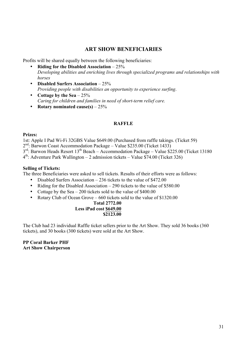# **ART SHOW BENEFICIARIES**

Profits will be shared equally between the following beneficiaries:

- **Riding for the Disabled Association** 25% *Developing abilities and enriching lives through specialized programs and relationships with horses*
- **Disabled Surfers Association** 25% *Providing people with disabilities an opportunity to experience surfing*.
- **Cottage by the Sea** 25% *Caring for children and families in need of short-term relief care.*
- **Rotary nominated cause(s)** 25%

# **RAFFLE**

#### **Prizes:**

1st: Apple I Pad Wi-Fi 32GBS Value \$649.00 (Purchased from raffle takings. (Ticket 59)

2<sup>nd</sup>: Barwon Coast Accommodation Package – Value \$235.00 (Ticket 1433)

 $3<sup>rd</sup>$ : Barwon Heads Resort  $13<sup>th</sup>$  Beach – Accommodation Package – Value \$225.00 (Ticket 13180)

 $4<sup>th</sup>$ : Adventure Park Wallington – 2 admission tickets – Value \$74.00 (Ticket 326)

#### **Selling of Tickets:**

The three Beneficiaries were asked to sell tickets. Results of their efforts were as follows:

- Disabled Surfers Association 236 tickets to the value of \$472.00
- Riding for the Disabled Association 290 tickets to the value of \$580.00
- Cottage by the Sea 200 tickets sold to the value of \$400.00
- Rotary Club of Ocean Grove 660 tickets sold to the value of \$1320.00

#### **Total 2772.00 Less iPad cost \$649.00 \$2123.00**

The Club had 23 individual Raffle ticket sellers prior to the Art Show. They sold 36 books (360 tickets), and 30 books (300 tickets) were sold at the Art Show.

### **PP Coral Barker PHF Art Show Chairperson**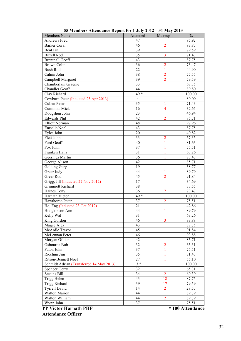| <b>Members Name</b>                      | Attended       | Makeup's       | $\%$   |
|------------------------------------------|----------------|----------------|--------|
| Andrews Fred                             | 47             |                | 95.92  |
| <b>Barker Coral</b>                      | 46             | $\overline{2}$ | 93.87  |
| Bent Ian                                 | 39             | $\mathbf{1}$   | 79.59  |
| <b>Birrell Rod</b>                       | 35             | $\overline{3}$ | 71.43  |
| <b>Brentnall Geoff</b>                   | 43             | $\mathbf{1}$   | 87.75  |
| <b>Brown Colin</b>                       | 36             | $\overline{2}$ | 73.47  |
| <b>Bush Rod</b>                          | 22             | $\mathbf{1}$   | 44.90  |
| Calnin John                              | 38             | $\overline{2}$ | 77.55  |
| Campbell Margaret                        | 39             | $\overline{2}$ | 79.59  |
| Chamberlain Graeme                       | 33             |                | 67.35  |
| <b>Chandler Geoff</b>                    | 44             |                | 89.80  |
| Clay Richard                             | $49*$          | 1              | 100.00 |
| Cowburn Peter (Inducted 23 Apr 2013)     | $\overline{4}$ |                | 80.00  |
| Cullen Peter                             | 35             | 1              | 71.43  |
| <b>Cummins Mick</b>                      | 16             | 4              | 32.65  |
|                                          | 23             |                |        |
| Dodgshun John                            | 42             | $\overline{2}$ | 46.94  |
| <b>Edwards Phil</b>                      |                |                | 85.71  |
| <b>Elliott Norman</b>                    | 48             |                | 97.96  |
| <b>Emselle Noel</b>                      | 43             |                | 87.75  |
| Eyles John                               | 20             |                | 40.82  |
| Flett John                               | 33             | $\overline{2}$ | 67.35  |
| Ford Geoff                               | 40             | 1              | 81.63  |
| Fox John                                 | 37             | 1              | 75.51  |
| Franken Hans                             | 31             | 1              | 63.26  |
| Geerings Martin                          | 36             | 1              | 73.47  |
| George Alison                            | 42             |                | 85.71  |
| Golding Gary                             | 19             |                | 38.77  |
| Greer Judy                               | 44             | 1              | 89.79  |
| Greer Rod                                | 45             | $\overline{2}$ | 91.84  |
| Grigg, Jill (Inducted 27 Nov 2012)       | 17             |                | 34.69  |
| <b>Grimmett Richard</b>                  | 38             |                | 77.55  |
| Haines Tony                              | 36             | 7              | 73.47  |
| Harnath Victor                           | $49*$          |                | 100.00 |
| Hawthorne Peter                          | 37             | $\overline{2}$ | 75.51  |
| Ho, Eng (Inducted 23 Oct 2012)           | 21             |                | 42.86  |
| Hodgkinson Ann                           | 44             |                | 89.79  |
| Kelly Wal                                | 31             |                | 63.26  |
| King Gordon                              | 46             | 3              | 93.88  |
| Magee Alex                               | 43             |                | 87.75  |
| McArdle Trevor                           | 45             |                | 91.84  |
| McLennan Peter                           | 46             |                | 93.88  |
| Morgan Gillian                           | 42             |                | 85.71  |
| Osbourne Bob                             | 32             | $\overline{2}$ | 65.31  |
| Paton John                               | 37             | 1              | 75.51  |
| Ricchini Jim                             | 35             | 1              | 71.43  |
| Ritson-Bennett Noel                      | 27             | 1              | 55.10  |
| Schmidt Adrian (Transferred 14 May 2013) | $3 *$          |                | 100.00 |
| <b>Spencer Gerry</b>                     | 32             | 1              | 65.31  |
| <b>Steains Bill</b>                      | 34             | $\overline{2}$ | 69.39  |
| Trigg Helen                              | 43             | 18             | 87.75  |
| Trigg Richard                            | 39             | 17             | 79.59  |
| <b>Tyrrell David</b>                     | 14             | $\overline{2}$ | 28.57  |
| <b>Walton Marion</b>                     | 44             | $\mathbf{1}$   | 89.79  |
| Walton William                           | 44             | $\overline{2}$ | 89.79  |
| Wynn John                                | 37             | 1              | 75.51  |
|                                          |                |                |        |

**55 Members Attendance Report for 1 July 2012 – 31 May 2013**

**PP Victor Harnath PHF**  $*100$  Attendance  **Attendance Officer**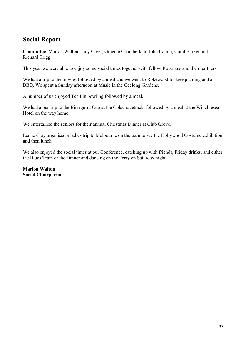# **Social Report**

**Committee**: Marion Walton, Judy Greer, Graeme Chamberlain, John Calnin, Coral Barker and Richard Trigg

This year we were able to enjoy some social times together with fellow Rotarians and their partners.

We had a trip to the movies followed by a meal and we went to Rokewood for tree planting and a BBQ. We spent a Sunday afternoon at Music in the Geelong Gardens.

A number of us enjoyed Ten Pin bowling followed by a meal.

We had a bus trip to the Birregurra Cup at the Colac racetrack, followed by a meal at the Winchlesea Hotel on the way home.

We entertained the seniors for their annual Christmas Dinner at Club Grove.

Leone Clay organised a ladies trip to Melbourne on the train to see the Hollywood Costume exhibition and then lunch.

We also enjoyed the social times at our Conference, catching up with friends, Friday drinks, and either the Blues Train or the Dinner and dancing on the Ferry on Saturday night.

**Marion Walton Social Chairperson**